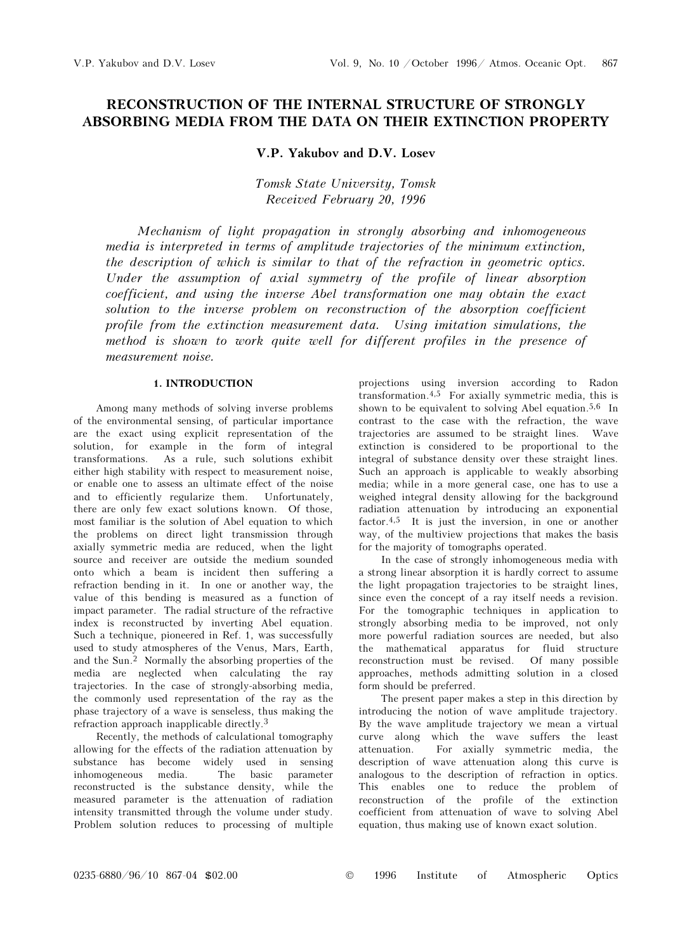# RECONSTRUCTION OF THE INTERNAL STRUCTURE OF STRONGLY ABSORBING MEDIA FROM THE DATA ON THEIR EXTINCTION PROPERTY

## V.P. Yakubov and D.V. Losev

Tomsk State University, Tomsk Received February 20, 1996

Mechanism of light propagation in strongly absorbing and inhomogeneous media is interpreted in terms of amplitude trajectories of the minimum extinction, the description of which is similar to that of the refraction in geometric optics. Under the assumption of axial symmetry of the profile of linear absorption coefficient, and using the inverse Abel transformation one may obtain the exact solution to the inverse problem on reconstruction of the absorption coefficient profile from the extinction measurement data. Using imitation simulations, the method is shown to work quite well for different profiles in the presence of measurement noise.

#### 1. INTRODUCTION

Among many methods of solving inverse problems of the environmental sensing, of particular importance are the exact using explicit representation of the solution, for example in the form of integral transformations. As a rule, such solutions exhibit either high stability with respect to measurement noise, or enable one to assess an ultimate effect of the noise and to efficiently regularize them. Unfortunately, there are only few exact solutions known. Of those, most familiar is the solution of Abel equation to which the problems on direct light transmission through axially symmetric media are reduced, when the light source and receiver are outside the medium sounded onto which a beam is incident then suffering a refraction bending in it. In one or another way, the value of this bending is measured as a function of impact parameter. The radial structure of the refractive index is reconstructed by inverting Abel equation. Such a technique, pioneered in Ref. 1, was successfully used to study atmospheres of the Venus, Mars, Earth, and the Sun.<sup>2</sup> Normally the absorbing properties of the media are neglected when calculating the ray trajectories. In the case of strongly-absorbing media, the commonly used representation of the ray as the phase trajectory of a wave is senseless, thus making the refraction approach inapplicable directly.<sup>3</sup>

Recently, the methods of calculational tomography allowing for the effects of the radiation attenuation by substance has become widely used in sensing inhomogeneous media. The basic parameter reconstructed is the substance density, while the measured parameter is the attenuation of radiation intensity transmitted through the volume under study. Problem solution reduces to processing of multiple projections using inversion according to Radon transformation.4,5 For axially symmetric media, this is shown to be equivalent to solving Abel equation.<sup>5,6</sup> In contrast to the case with the refraction, the wave trajectories are assumed to be straight lines. Wave extinction is considered to be proportional to the integral of substance density over these straight lines. Such an approach is applicable to weakly absorbing media; while in a more general case, one has to use a weighed integral density allowing for the background radiation attenuation by introducing an exponential factor.4,5 It is just the inversion, in one or another way, of the multiview projections that makes the basis for the majority of tomographs operated.

In the case of strongly inhomogeneous media with a strong linear absorption it is hardly correct to assume the light propagation trajectories to be straight lines, since even the concept of a ray itself needs a revision. For the tomographic techniques in application to strongly absorbing media to be improved, not only more powerful radiation sources are needed, but also the mathematical apparatus for fluid structure reconstruction must be revised. Of many possible approaches, methods admitting solution in a closed form should be preferred.

The present paper makes a step in this direction by introducing the notion of wave amplitude trajectory. By the wave amplitude trajectory we mean a virtual curve along which the wave suffers the least attenuation. For axially symmetric media, the description of wave attenuation along this curve is analogous to the description of refraction in optics. This enables one to reduce the problem of reconstruction of the profile of the extinction coefficient from attenuation of wave to solving Abel equation, thus making use of known exact solution.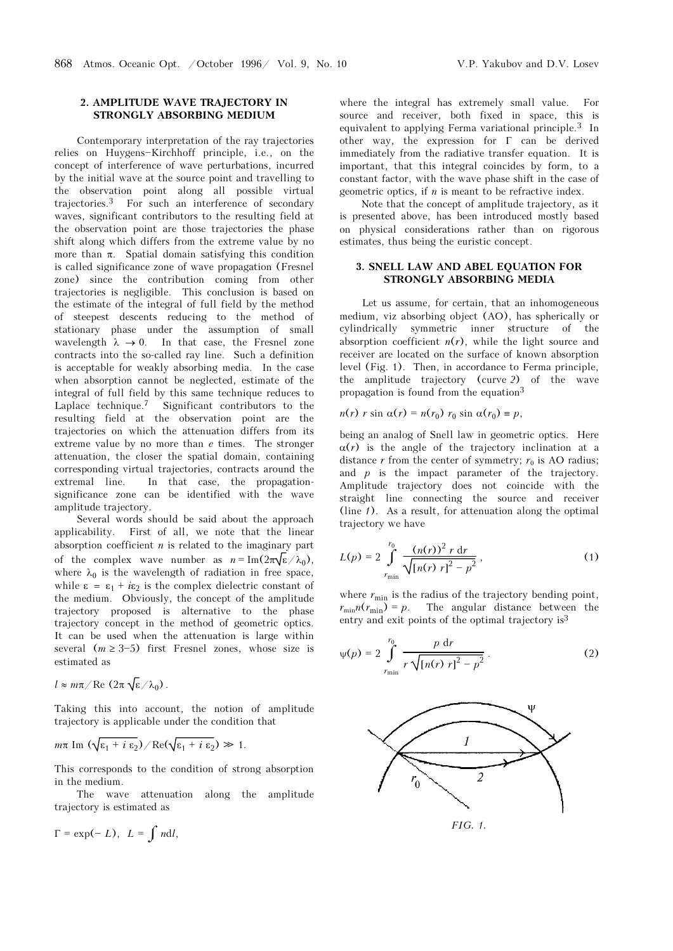#### 2. AMPLITUDE WAVE TRAJECTORY IN STRONGLY ABSORBING MEDIUM

Contemporary interpretation of the ray trajectories relies on Huygens-Kirchhoff principle, i.e., on the concept of interference of wave perturbations, incurred by the initial wave at the source point and travelling to the observation point along all possible virtual trajectories.3 For such an interference of secondary waves, significant contributors to the resulting field at the observation point are those trajectories the phase shift along which differs from the extreme value by no more than  $\pi$ . Spatial domain satisfying this condition is called significance zone of wave propagation (Fresnel zone) since the contribution coming from other trajectories is negligible. This conclusion is based on the estimate of the integral of full field by the method of steepest descents reducing to the method of stationary phase under the assumption of small wavelength  $\lambda \rightarrow 0$ . In that case, the Fresnel zone contracts into the so-called ray line. Such a definition is acceptable for weakly absorbing media. In the case when absorption cannot be neglected, estimate of the integral of full field by this same technique reduces to Laplace technique.7 Significant contributors to the resulting field at the observation point are the trajectories on which the attenuation differs from its extreme value by no more than e times. The stronger attenuation, the closer the spatial domain, containing corresponding virtual trajectories, contracts around the extremal line. In that case, the propagationsignificance zone can be identified with the wave amplitude trajectory.

Several words should be said about the approach applicability. First of all, we note that the linear absorption coefficient  $n$  is related to the imaginary part of the complex wave number as  $n = \text{Im}(2\pi\sqrt{\epsilon}/\lambda_0)$ , where  $\lambda_0$  is the wavelength of radiation in free space, while  $\varepsilon = \varepsilon_1 + i\varepsilon_2$  is the complex dielectric constant of the medium. Obviously, the concept of the amplitude trajectory proposed is alternative to the phase trajectory concept in the method of geometric optics. It can be used when the attenuation is large within several  $(m \ge 3-5)$  first Fresnel zones, whose size is estimated as

$$
l \approx m\pi/\text{Re}(2\pi \sqrt{\epsilon}/\lambda_0)
$$
.

Taking this into account, the notion of amplitude trajectory is applicable under the condition that

$$
m\pi \operatorname{Im} (\sqrt{\varepsilon_1 + i \varepsilon_2}) / \operatorname{Re} (\sqrt{\varepsilon_1 + i \varepsilon_2}) \gg 1.
$$

This corresponds to the condition of strong absorption in the medium.

The wave attenuation along the amplitude trajectory is estimated as

$$
\Gamma = \exp(-L), \ L = \int n \mathrm{d}l,
$$

where the integral has extremely small value. For source and receiver, both fixed in space, this is equivalent to applying Ferma variational principle.3 In other way, the expression for Γ can be derived immediately from the radiative transfer equation. It is important, that this integral coincides by form, to a constant factor, with the wave phase shift in the case of geometric optics, if  $n$  is meant to be refractive index.

Note that the concept of amplitude trajectory, as it is presented above, has been introduced mostly based on physical considerations rather than on rigorous estimates, thus being the euristic concept.

## 3. SNELL LAW AND ABEL EQUATION FOR STRONGLY ABSORBING MEDIA

Let us assume, for certain, that an inhomogeneous medium, viz absorbing object (AO), has spherically or cylindrically symmetric inner structure of the absorption coefficient  $n(r)$ , while the light source and receiver are located on the surface of known absorption level (Fig. 1). Then, in accordance to Ferma principle, the amplitude trajectory (curve 2) of the wave propagation is found from the equation<sup>3</sup>

$$
n(r) r \sin \alpha(r) = n(r_0) r_0 \sin \alpha(r_0) \equiv p,
$$

being an analog of Snell law in geometric optics. Here  $\alpha(r)$  is the angle of the trajectory inclination at a distance r from the center of symmetry;  $r_0$  is AO radius; and  $p$  is the impact parameter of the trajectory. Amplitude trajectory does not coincide with the straight line connecting the source and receiver (line  $1$ ). As a result, for attenuation along the optimal trajectory we have

$$
L(p) = 2 \int_{r_{\min}}^{r_0} \frac{(n(r))^2 r dr}{\sqrt{[n(r) r]^2 - p^2}},
$$
 (1)

where  $r_{\rm min}$  is the radius of the trajectory bending point,  $r_{\min}n(r_{\min}) = p$ . The angular distance between the entry and exit points of the optimal trajectory is<sup>3</sup>

$$
\psi(p) = 2 \int_{r_{\min}}^{r_0} \frac{p \, dr}{r \sqrt{[n(r) r]^2 - p^2}}.
$$
 (2)

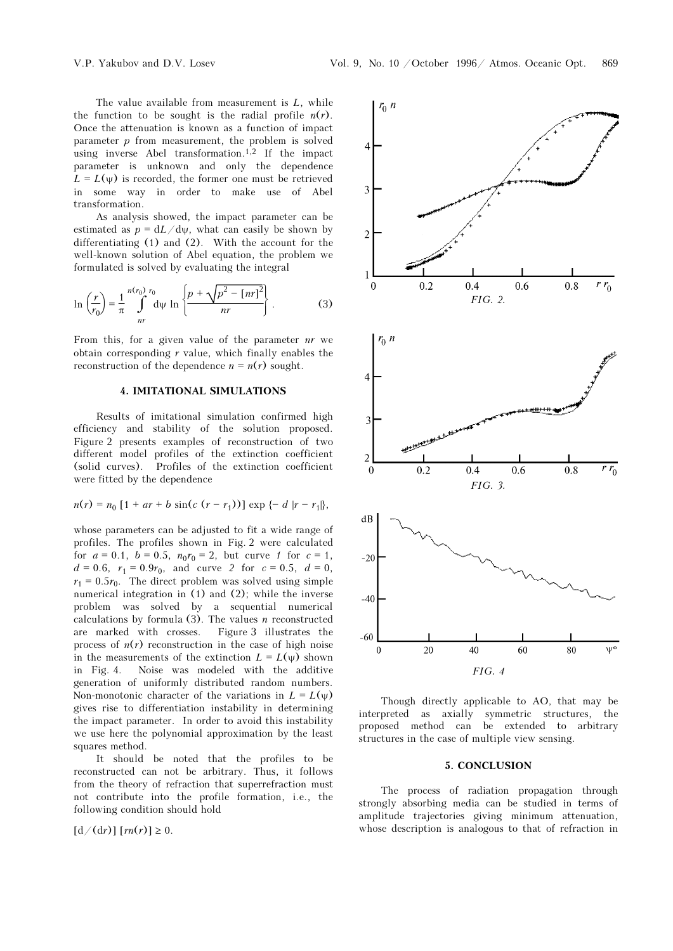The value available from measurement is  $L$ , while the function to be sought is the radial profile  $n(r)$ . Once the attenuation is known as a function of impact parameter  $p$  from measurement, the problem is solved using inverse Abel transformation.1,2 If the impact parameter is unknown and only the dependence  $L = L(\psi)$  is recorded, the former one must be retrieved in some way in order to make use of Abel transformation.

As analysis showed, the impact parameter can be estimated as  $p = dL/d\psi$ , what can easily be shown by differentiating (1) and (2). With the account for the well-known solution of Abel equation, the problem we formulated is solved by evaluating the integral

$$
\ln\left(\frac{r}{r_0}\right) = \frac{1}{\pi} \int_{nr}^{n(r_0)} \frac{r_0}{\mathrm{d}\psi} \ln\left\{\frac{p + \sqrt{p^2 - [nr]^2}}{nr}\right\} \,. \tag{3}
$$

From this, for a given value of the parameter  $nr$  we obtain corresponding  $r$  value, which finally enables the reconstruction of the dependence  $n = n(r)$  sought.

## 4. IMITATIONAL SIMULATIONS

Results of imitational simulation confirmed high efficiency and stability of the solution proposed. Figure 2 presents examples of reconstruction of two different model profiles of the extinction coefficient (solid curves). Profiles of the extinction coefficient were fitted by the dependence

$$
n(r) = n_0 [1 + ar + b \sin(c (r - r_1))] \exp \{- d |r - r_1|\},
$$

whose parameters can be adjusted to fit a wide range of profiles. The profiles shown in Fig. 2 were calculated for  $a = 0.1$ ,  $b = 0.5$ ,  $n_0 r_0 = 2$ , but curve 1 for  $c = 1$ ,  $d = 0.6$ ,  $r_1 = 0.9r_0$ , and curve 2 for  $c = 0.5$ ,  $d = 0$ ,  $r_1 = 0.5r_0$ . The direct problem was solved using simple numerical integration in (1) and (2); while the inverse problem was solved by a sequential numerical calculations by formula  $(3)$ . The values *n* reconstructed are marked with crosses. Figure 3 illustrates the process of  $n(r)$  reconstruction in the case of high noise in the measurements of the extinction  $L=L(\psi)$  shown in Fig. 4. Noise was modeled with the additive generation of uniformly distributed random numbers. Non-monotonic character of the variations in  $L = L(\psi)$ gives rise to differentiation instability in determining the impact parameter. In order to avoid this instability we use here the polynomial approximation by the least squares method.

It should be noted that the profiles to be reconstructed can not be arbitrary. Thus, it follows from the theory of refraction that superrefraction must not contribute into the profile formation, i.e., the following condition should hold

 $[d/(dr)] [rn(r)] \ge 0.$ 



Though directly applicable to AO, that may be interpreted as axially symmetric structures, the proposed method can be extended to arbitrary structures in the case of multiple view sensing.

## 5. CONCLUSION

The process of radiation propagation through strongly absorbing media can be studied in terms of amplitude trajectories giving minimum attenuation, whose description is analogous to that of refraction in